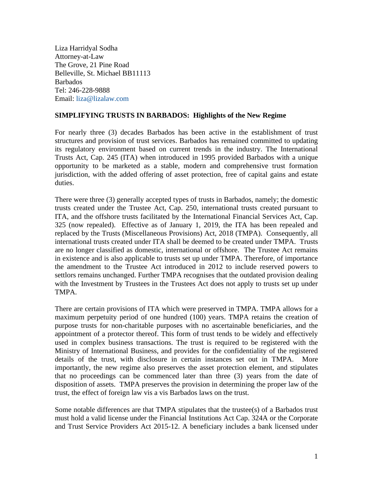Liza Harridyal Sodha Attorney-at-Law The Grove, 21 Pine Road Belleville, St. Michael BB11113 Barbados Tel: 246-228-9888 Email: [liza@lizalaw.com](mailto:liza@lizalaw.com)

## **SIMPLIFYING TRUSTS IN BARBADOS: Highlights of the New Regime**

For nearly three (3) decades Barbados has been active in the establishment of trust structures and provision of trust services. Barbados has remained committed to updating its regulatory environment based on current trends in the industry. The International Trusts Act, Cap. 245 (ITA) when introduced in 1995 provided Barbados with a unique opportunity to be marketed as a stable, modern and comprehensive trust formation jurisdiction, with the added offering of asset protection, free of capital gains and estate duties.

There were three (3) generally accepted types of trusts in Barbados, namely; the domestic trusts created under the Trustee Act, Cap. 250, international trusts created pursuant to ITA, and the offshore trusts facilitated by the International Financial Services Act, Cap. 325 (now repealed). Effective as of January 1, 2019, the ITA has been repealed and replaced by the Trusts (Miscellaneous Provisions) Act, 2018 (TMPA). Consequently, all international trusts created under ITA shall be deemed to be created under TMPA. Trusts are no longer classified as domestic, international or offshore. The Trustee Act remains in existence and is also applicable to trusts set up under TMPA. Therefore, of importance the amendment to the Trustee Act introduced in 2012 to include reserved powers to settlors remains unchanged. Further TMPA recognises that the outdated provision dealing with the Investment by Trustees in the Trustees Act does not apply to trusts set up under TMPA.

There are certain provisions of ITA which were preserved in TMPA. TMPA allows for a maximum perpetuity period of one hundred (100) years. TMPA retains the creation of purpose trusts for non-charitable purposes with no ascertainable beneficiaries, and the appointment of a protector thereof. This form of trust tends to be widely and effectively used in complex business transactions. The trust is required to be registered with the Ministry of International Business, and provides for the confidentiality of the registered details of the trust, with disclosure in certain instances set out in TMPA. More importantly, the new regime also preserves the asset protection element, and stipulates that no proceedings can be commenced later than three (3) years from the date of disposition of assets. TMPA preserves the provision in determining the proper law of the trust, the effect of foreign law vis a vis Barbados laws on the trust.

Some notable differences are that TMPA stipulates that the trustee(s) of a Barbados trust must hold a valid license under the Financial Institutions Act Cap. 324A or the Corporate and Trust Service Providers Act 2015-12. A beneficiary includes a bank licensed under